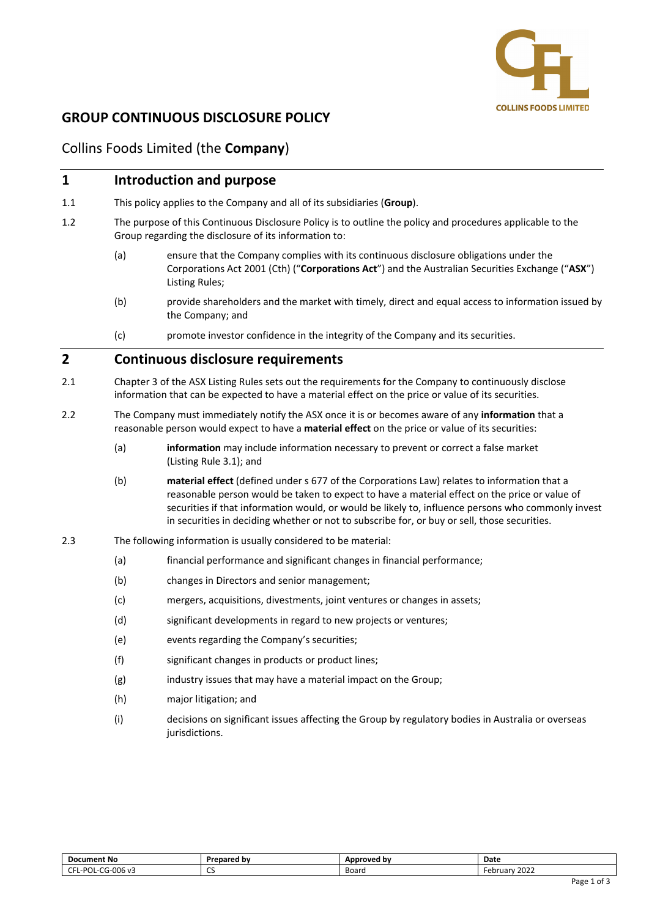

# **GROUP CONTINUOUS DISCLOSURE POLICY**

## Collins Foods Limited (the **Company**)

# **1 Introduction and purpose** 1.1 This policy applies to the Company and all of its subsidiaries (**Group**). 1.2 The purpose of this Continuous Disclosure Policy is to outline the policy and procedures applicable to the Group regarding the disclosure of its information to: (a) ensure that the Company complies with its continuous disclosure obligations under the Corporations Act 2001 (Cth) ("**Corporations Act**") and the Australian Securities Exchange ("**ASX**") Listing Rules; (b) provide shareholders and the market with timely, direct and equal access to information issued by the Company; and (c) promote investor confidence in the integrity of the Company and its securities. **2 Continuous disclosure requirements** 2.1 Chapter 3 of the ASX Listing Rules sets out the requirements for the Company to continuously disclose information that can be expected to have a material effect on the price or value of its securities. 2.2 The Company must immediately notify the ASX once it is or becomes aware of any **information** that a reasonable person would expect to have a **material effect** on the price or value of its securities: (a) **information** may include information necessary to prevent or correct a false market (Listing Rule 3.1); and (b) **material effect** (defined under s 677 of the Corporations Law) relates to information that a reasonable person would be taken to expect to have a material effect on the price or value of securities if that information would, or would be likely to, influence persons who commonly invest

- 2.3 The following information is usually considered to be material:
	- (a) financial performance and significant changes in financial performance;
	- (b) changes in Directors and senior management;
	- (c) mergers, acquisitions, divestments, joint ventures or changes in assets;
	- (d) significant developments in regard to new projects or ventures;
	- (e) events regarding the Company's securities;
	- (f) significant changes in products or product lines;
	- (g) industry issues that may have a material impact on the Group;
	- (h) major litigation; and
	- (i) decisions on significant issues affecting the Group by regulatory bodies in Australia or overseas jurisdictions.

in securities in deciding whether or not to subscribe for, or buy or sell, those securities.

| <b>Document No</b>                              | Prepared by                   | Approved by | Date             |
|-------------------------------------------------|-------------------------------|-------------|------------------|
| -006 v3<br>$\sim$<br>L-POL-C<br>CFL-<br>' ا−⊏اب | $\overline{\phantom{a}}$<br>ິ | Board       | 2022<br>-ebruarv |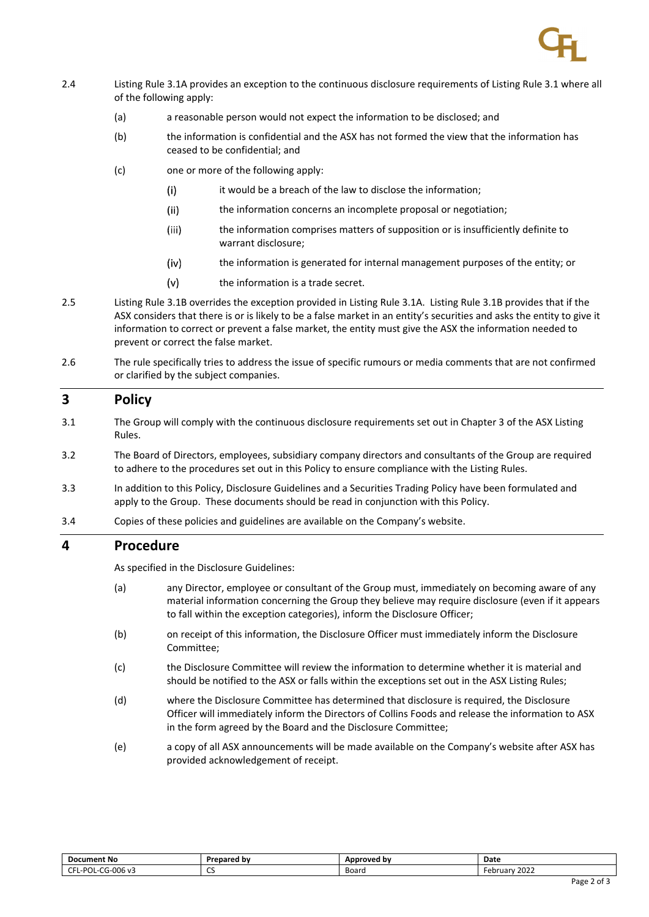

- 2.4 Listing Rule 3.1A provides an exception to the continuous disclosure requirements of Listing Rule 3.1 where all of the following apply:
	- (a) a reasonable person would not expect the information to be disclosed; and
	- (b) the information is confidential and the ASX has not formed the view that the information has ceased to be confidential; and
	- (c) one or more of the following apply:
		- $(i)$ it would be a breach of the law to disclose the information;
		- $(iii)$ the information concerns an incomplete proposal or negotiation;
		- the information comprises matters of supposition or is insufficiently definite to  $(iii)$ warrant disclosure;
		- $(iv)$ the information is generated for internal management purposes of the entity; or
		- $(v)$ the information is a trade secret.
- 2.5 Listing Rule 3.1B overrides the exception provided in Listing Rule 3.1A. Listing Rule 3.1B provides that if the ASX considers that there is or is likely to be a false market in an entity's securities and asks the entity to give it information to correct or prevent a false market, the entity must give the ASX the information needed to prevent or correct the false market.
- 2.6 The rule specifically tries to address the issue of specific rumours or media comments that are not confirmed or clarified by the subject companies.

## **3 Policy**

- 3.1 The Group will comply with the continuous disclosure requirements set out in Chapter 3 of the ASX Listing Rules.
- 3.2 The Board of Directors, employees, subsidiary company directors and consultants of the Group are required to adhere to the procedures set out in this Policy to ensure compliance with the Listing Rules.
- 3.3 In addition to this Policy, Disclosure Guidelines and a Securities Trading Policy have been formulated and apply to the Group. These documents should be read in conjunction with this Policy.
- 3.4 Copies of these policies and guidelines are available on the Company's website.

### **4 Procedure**

As specified in the Disclosure Guidelines:

- (a) any Director, employee or consultant of the Group must, immediately on becoming aware of any material information concerning the Group they believe may require disclosure (even if it appears to fall within the exception categories), inform the Disclosure Officer;
- (b) on receipt of this information, the Disclosure Officer must immediately inform the Disclosure Committee;
- (c) the Disclosure Committee will review the information to determine whether it is material and should be notified to the ASX or falls within the exceptions set out in the ASX Listing Rules;
- (d) where the Disclosure Committee has determined that disclosure is required, the Disclosure Officer will immediately inform the Directors of Collins Foods and release the information to ASX in the form agreed by the Board and the Disclosure Committee;
- (e) a copy of all ASX announcements will be made available on the Company's website after ASX has provided acknowledgement of receipt.

| <b>Document No</b>                                               | Prepared by | Approved by | Date             |
|------------------------------------------------------------------|-------------|-------------|------------------|
| $-006$ v3<br>$\sim$<br>$\sim$<br>L-POL-<br>$5 - 1$<br>- - -<br>∽ | $\sim$<br>ີ | Board       | 2022<br>ebruarv- |